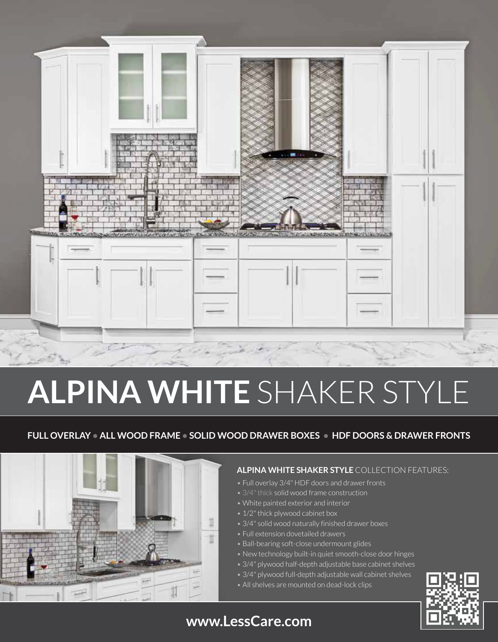

# **ALPINA WHITE** SHAKER STYLE

### **FULL OVERLAY • ALL WOOD FRAME • SOLID WOOD DRAWER BOXES • HDF DOORS & DRAWER FRONTS**



#### **ALPINA WHITE SHAKER STYLE** COLLECTION FEATURES:

- Full overlay 3/4" HDF doors and drawer fronts
- 3/4" thick solid wood frame construction
- White painted exterior and interior
- 1/2" thick plywood cabinet box
- 3/4" solid wood naturally finished drawer boxes
- Full extension dovetailed drawers
- Ball-bearing soft-close undermount glides
- New technology built-in quiet smooth-close door hinges
- 3/4" plywood half-depth adjustable base cabinet shelves
- 3/4" plywood full-depth adjustable wall cabinet shelves
- All shelves are mounted on dead-lock clips



### **www.LessCare.com**